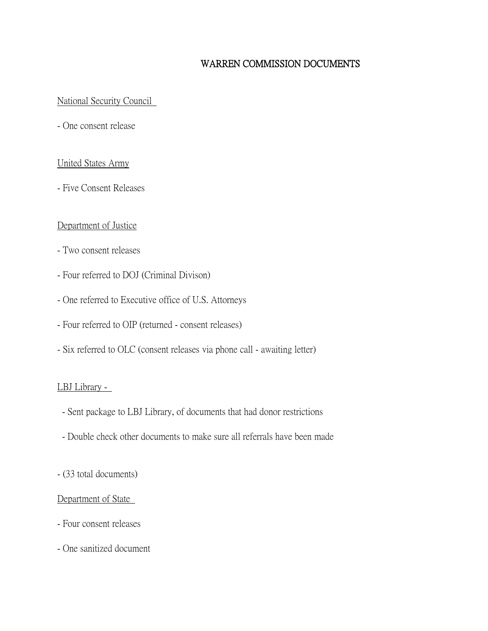## WARREN COMMISSION DOCUMENTS

### National Security Council

- One consent release

### United States Army

- Five Consent Releases

### Department of Justice

- Two consent releases
- Four referred to DOJ (Criminal Divison)
- One referred to Executive office of U.S. Attorneys
- Four referred to OIP (returned consent releases)
- Six referred to OLC (consent releases via phone call awaiting letter)

### LBJ Library -

- Sent package to LBJ Library, of documents that had donor restrictions
- Double check other documents to make sure all referrals have been made
- (33 total documents)

### Department of State

- Four consent releases
- One sanitized document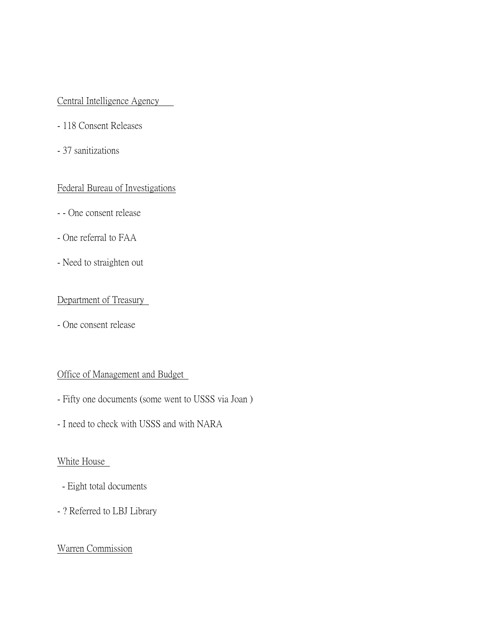## Central Intelligence Agency

- 118 Consent Releases
- 37 sanitizations

### Federal Bureau of Investigations

- - One consent release
- One referral to FAA
- Need to straighten out

## Department of Treasury

- One consent release

## Office of Management and Budget

- Fifty one documents (some went to USSS via Joan )
- I need to check with USSS and with NARA

### White House

- Eight total documents
- ? Referred to LBJ Library

## Warren Commission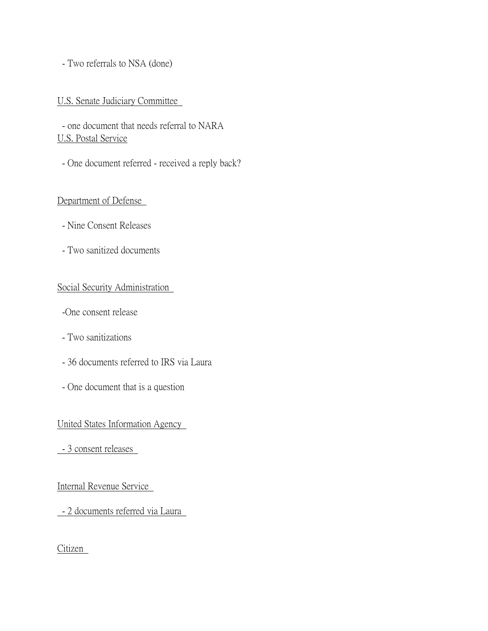### - Two referrals to NSA (done)

### U.S. Senate Judiciary Committee

- one document that needs referral to NARA U.S. Postal Service
- One document referred received a reply back?

### Department of Defense

- Nine Consent Releases
- Two sanitized documents

### Social Security Administration

- -One consent release
- Two sanitizations
- 36 documents referred to IRS via Laura
- One document that is a question

### United States Information Agency

- 3 consent releases

Internal Revenue Service

- 2 documents referred via Laura

Citizen